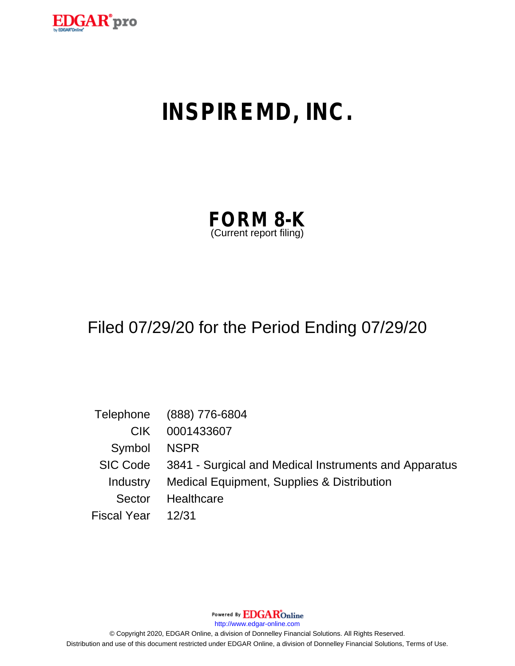

# **INSPIREMD, INC.**

| <b>FORM 8-K</b>         |  |
|-------------------------|--|
| (Current report filing) |  |

## Filed 07/29/20 for the Period Ending 07/29/20

|                    | Telephone (888) 776-6804                                       |
|--------------------|----------------------------------------------------------------|
| CIK.               | 0001433607                                                     |
| Symbol NSPR        |                                                                |
|                    | SIC Code 3841 - Surgical and Medical Instruments and Apparatus |
|                    | Industry Medical Equipment, Supplies & Distribution            |
| Sector             | Healthcare                                                     |
| Fiscal Year  12/31 |                                                                |

Powered By **EDGAR**Online

http://www.edgar-online.com

© Copyright 2020, EDGAR Online, a division of Donnelley Financial Solutions. All Rights Reserved. Distribution and use of this document restricted under EDGAR Online, a division of Donnelley Financial Solutions, Terms of Use.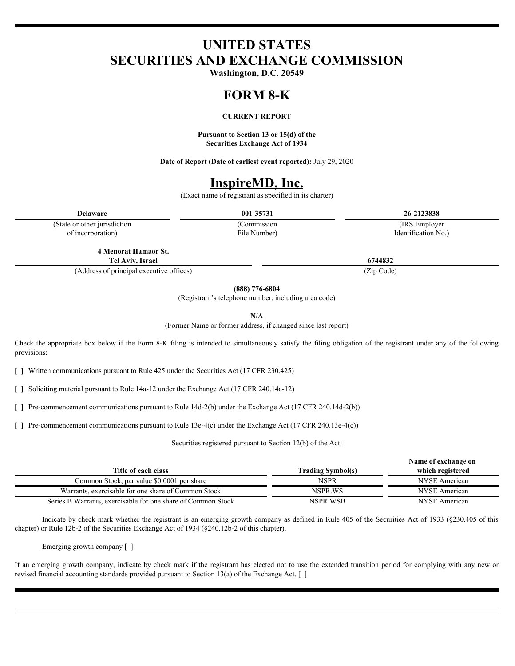## **UNITED STATES SECURITIES AND EXCHANGE COMMISSION**

**Washington, D.C. 20549**

#### **FORM 8-K**

#### **CURRENT REPORT**

**Pursuant to Section 13 or 15(d) of the Securities Exchange Act of 1934**

**Date of Report (Date of earliest event reported):** July 29, 2020

### **InspireMD, Inc.**

(Exact name of registrant as specified in its charter)

(State or other jurisdiction of incorporation)

File Number)

**Delaware 001-35731 26-2123838** (Commission (IRS Employer Identification No.)

**4 Menorat Hamaor St. Tel Aviv, Israel 6744832**

(Address of principal executive offices) (Zip Code)

**(888) 776-6804**

(Registrant's telephone number, including area code)

**N/A**

(Former Name or former address, if changed since last report)

Check the appropriate box below if the Form 8-K filing is intended to simultaneously satisfy the filing obligation of the registrant under any of the following provisions:

[ ] Written communications pursuant to Rule 425 under the Securities Act (17 CFR 230.425)

[ ] Soliciting material pursuant to Rule 14a-12 under the Exchange Act (17 CFR 240.14a-12)

[ ] Pre-commencement communications pursuant to Rule 14d-2(b) under the Exchange Act (17 CFR 240.14d-2(b))

[ ] Pre-commencement communications pursuant to Rule 13e-4(c) under the Exchange Act (17 CFR 240.13e-4(c))

Securities registered pursuant to Section 12(b) of the Act:

|                          | Name of exchange on |
|--------------------------|---------------------|
| <b>Trading Symbol(s)</b> | which registered    |
| NSPR                     | NYSE American       |
| NSPR.WS                  | NYSE American       |
| NSPR WSB                 | NYSE American       |
|                          |                     |

Indicate by check mark whether the registrant is an emerging growth company as defined in Rule 405 of the Securities Act of 1933 (§230.405 of this chapter) or Rule 12b-2 of the Securities Exchange Act of 1934 (§240.12b-2 of this chapter).

Emerging growth company [ ]

If an emerging growth company, indicate by check mark if the registrant has elected not to use the extended transition period for complying with any new or revised financial accounting standards provided pursuant to Section 13(a) of the Exchange Act. [ ]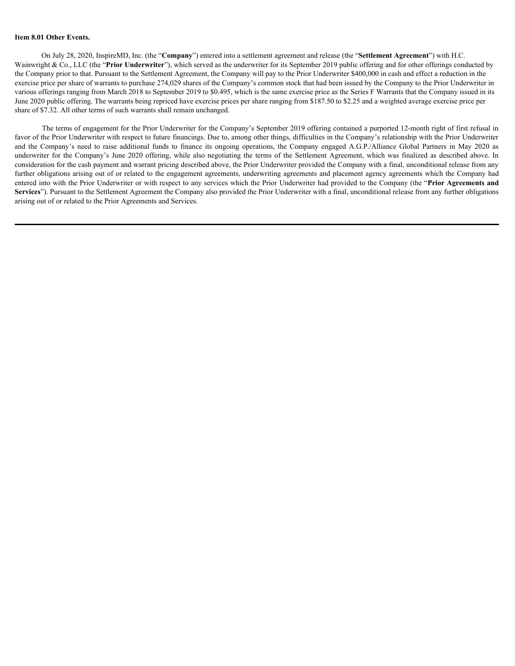#### **Item 8.01 Other Events.**

On July 28, 2020, InspireMD, Inc. (the "**Company**") entered into a settlement agreement and release (the "**Settlement Agreement**") with H.C. Wainwright & Co., LLC (the "**Prior Underwriter**"), which served as the underwriter for its September 2019 public offering and for other offerings conducted by the Company prior to that. Pursuant to the Settlement Agreement, the Company will pay to the Prior Underwriter \$400,000 in cash and effect a reduction in the exercise price per share of warrants to purchase 274,029 shares of the Company's common stock that had been issued by the Company to the Prior Underwriter in various offerings ranging from March 2018 to September 2019 to \$0.495, which is the same exercise price as the Series F Warrants that the Company issued in its June 2020 public offering. The warrants being repriced have exercise prices per share ranging from \$187.50 to \$2.25 and a weighted average exercise price per share of \$7.32. All other terms of such warrants shall remain unchanged.

The terms of engagement for the Prior Underwriter for the Company's September 2019 offering contained a purported 12-month right of first refusal in favor of the Prior Underwriter with respect to future financings. Due to, among other things, difficulties in the Company's relationship with the Prior Underwriter Item 8.01 Other Fvents.<br>
(On July 28, 2020, InspireMD, Ine. (the "Company") entered into a settlement agreement and relasse (the "Settlement Agreement") with H.C.<br>
Wainwright & Co., I.I.C (the "Prior Underwriter"), which s Item 8.01 Other Events.<br>
(On July 28, 2020, InspireM), Ine. (the "Company") entered into a settlement agreement and release (the "Settlement Agreement") with H.C.<br>
Wainwright & Co., I.I.C (the "Prior Underwriter"), which s consideration for the cash payment and warrant pricing described above, the Prior Underwriter provided the Company with a final, unconditional release from any further obligations arising out of or related to the engagement agreements, underwriting agreements and placement agency agreements which the Company had entered into with the Prior Underwriter or with respect to any services which the Prior Underwriter had provided to the Company (the "**Prior Agreements and** Services"). Pursuant to the Settlement Agreement the Company also provided the Prior Underwriter with a final, unconditional release from any further obligations arising out of or related to the Prior Agreements and Services.